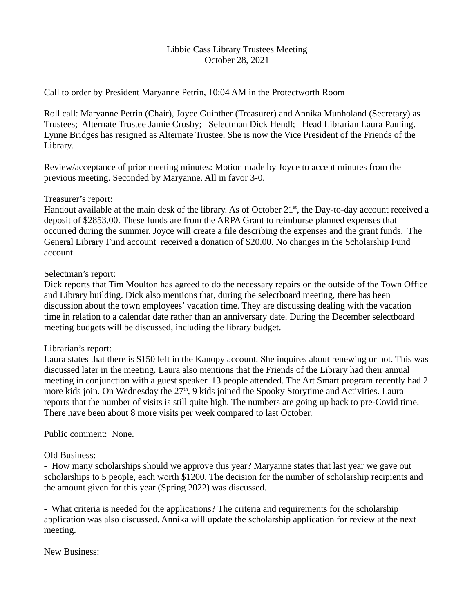## Libbie Cass Library Trustees Meeting October 28, 2021

Call to order by President Maryanne Petrin, 10:04 AM in the Protectworth Room

Roll call: Maryanne Petrin (Chair), Joyce Guinther (Treasurer) and Annika Munholand (Secretary) as Trustees; Alternate Trustee Jamie Crosby; Selectman Dick Hendl; Head Librarian Laura Pauling. Lynne Bridges has resigned as Alternate Trustee. She is now the Vice President of the Friends of the Library.

Review/acceptance of prior meeting minutes: Motion made by Joyce to accept minutes from the previous meeting. Seconded by Maryanne. All in favor 3-0.

## Treasurer's report:

Handout available at the main desk of the library. As of October 21<sup>st</sup>, the Day-to-day account received a deposit of \$2853.00. These funds are from the ARPA Grant to reimburse planned expenses that occurred during the summer. Joyce will create a file describing the expenses and the grant funds. The General Library Fund account received a donation of \$20.00. No changes in the Scholarship Fund account.

## Selectman's report:

Dick reports that Tim Moulton has agreed to do the necessary repairs on the outside of the Town Office and Library building. Dick also mentions that, during the selectboard meeting, there has been discussion about the town employees' vacation time. They are discussing dealing with the vacation time in relation to a calendar date rather than an anniversary date. During the December selectboard meeting budgets will be discussed, including the library budget.

# Librarian's report:

Laura states that there is \$150 left in the Kanopy account. She inquires about renewing or not. This was discussed later in the meeting. Laura also mentions that the Friends of the Library had their annual meeting in conjunction with a guest speaker. 13 people attended. The Art Smart program recently had 2 more kids join. On Wednesday the 27<sup>th</sup>, 9 kids joined the Spooky Storytime and Activities. Laura reports that the number of visits is still quite high. The numbers are going up back to pre-Covid time. There have been about 8 more visits per week compared to last October.

# Public comment: None.

# Old Business:

- How many scholarships should we approve this year? Maryanne states that last year we gave out scholarships to 5 people, each worth \$1200. The decision for the number of scholarship recipients and the amount given for this year (Spring 2022) was discussed.

- What criteria is needed for the applications? The criteria and requirements for the scholarship application was also discussed. Annika will update the scholarship application for review at the next meeting.

New Business: